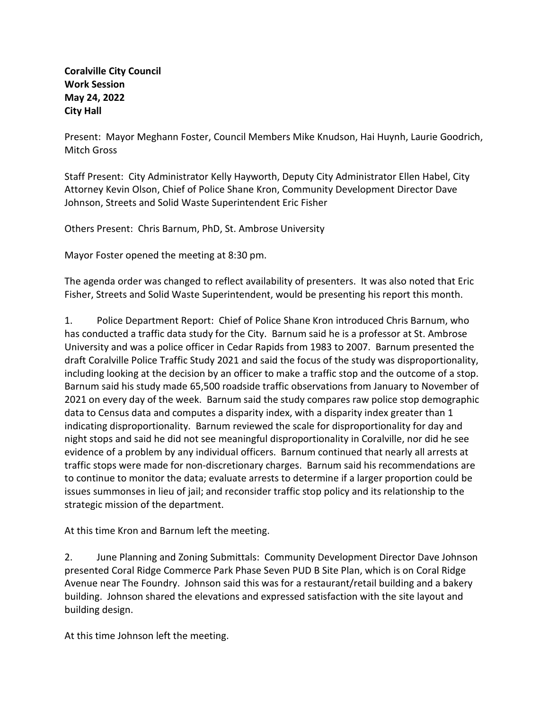**Coralville City Council Work Session May 24, 2022 City Hall**

Present: Mayor Meghann Foster, Council Members Mike Knudson, Hai Huynh, Laurie Goodrich, Mitch Gross

Staff Present: City Administrator Kelly Hayworth, Deputy City Administrator Ellen Habel, City Attorney Kevin Olson, Chief of Police Shane Kron, Community Development Director Dave Johnson, Streets and Solid Waste Superintendent Eric Fisher

Others Present: Chris Barnum, PhD, St. Ambrose University

Mayor Foster opened the meeting at 8:30 pm.

The agenda order was changed to reflect availability of presenters. It was also noted that Eric Fisher, Streets and Solid Waste Superintendent, would be presenting his report this month.

1. Police Department Report: Chief of Police Shane Kron introduced Chris Barnum, who has conducted a traffic data study for the City. Barnum said he is a professor at St. Ambrose University and was a police officer in Cedar Rapids from 1983 to 2007. Barnum presented the draft Coralville Police Traffic Study 2021 and said the focus of the study was disproportionality, including looking at the decision by an officer to make a traffic stop and the outcome of a stop. Barnum said his study made 65,500 roadside traffic observations from January to November of 2021 on every day of the week. Barnum said the study compares raw police stop demographic data to Census data and computes a disparity index, with a disparity index greater than 1 indicating disproportionality. Barnum reviewed the scale for disproportionality for day and night stops and said he did not see meaningful disproportionality in Coralville, nor did he see evidence of a problem by any individual officers. Barnum continued that nearly all arrests at traffic stops were made for non-discretionary charges. Barnum said his recommendations are to continue to monitor the data; evaluate arrests to determine if a larger proportion could be issues summonses in lieu of jail; and reconsider traffic stop policy and its relationship to the strategic mission of the department.

At this time Kron and Barnum left the meeting.

2. June Planning and Zoning Submittals: Community Development Director Dave Johnson presented Coral Ridge Commerce Park Phase Seven PUD B Site Plan, which is on Coral Ridge Avenue near The Foundry. Johnson said this was for a restaurant/retail building and a bakery building. Johnson shared the elevations and expressed satisfaction with the site layout and building design.

At this time Johnson left the meeting.